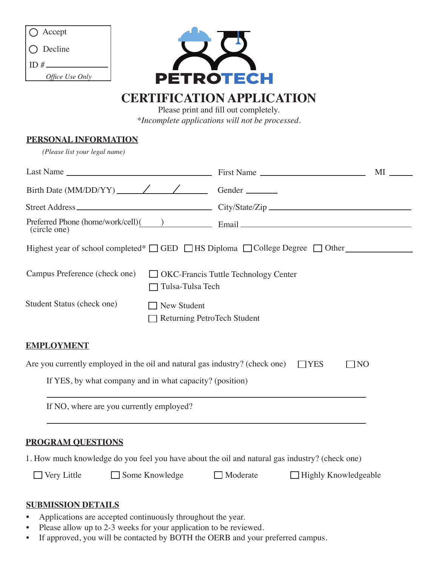| $\bigcap$ Accept  |
|-------------------|
| $\bigcap$ Decline |
| ID $#_$           |
| Office Use Only   |



# **CERTIFICATION APPLICATION**

Please print and fill out completely. *\*Incomplete applications will not be processed.*

## **PERSONAL INFORMATION**

*(Please list your legal name)*

| (circle one)                                                                                      |                                                                 |                                                                                  |                             |           |  |
|---------------------------------------------------------------------------------------------------|-----------------------------------------------------------------|----------------------------------------------------------------------------------|-----------------------------|-----------|--|
| Highest year of school completed* $\Box$ GED $\Box$ HS Diploma $\Box$ College Degree $\Box$ Other |                                                                 |                                                                                  |                             |           |  |
| Campus Preference (check one)                                                                     | $\Box$ OKC-Francis Tuttle Technology Center<br>Tulsa-Tulsa Tech |                                                                                  |                             |           |  |
| Student Status (check one)<br>$\Box$ New Student<br>Returning PetroTech Student                   |                                                                 |                                                                                  |                             |           |  |
| <b>EMPLOYMENT</b>                                                                                 |                                                                 |                                                                                  |                             |           |  |
| Are you currently employed in the oil and natural gas industry? (check one)                       |                                                                 |                                                                                  | $\Box$ YES                  | $\Box$ NO |  |
| If YES, by what company and in what capacity? (position)                                          |                                                                 |                                                                                  |                             |           |  |
| If NO, where are you currently employed?                                                          |                                                                 | ,我们也不会有什么。""我们的人,我们也不会有什么?""我们的人,我们也不会有什么?""我们的人,我们也不会有什么?""我们的人,我们也不会有什么?""我们的人 |                             |           |  |
| <b>PROGRAM OUESTIONS</b>                                                                          |                                                                 |                                                                                  |                             |           |  |
| 1. How much knowledge do you feel you have about the oil and natural gas industry? (check one)    |                                                                 |                                                                                  |                             |           |  |
| $\Box$ Very Little                                                                                | $\Box$ Some Knowledge                                           | $\Box$ Moderate                                                                  | $\Box$ Highly Knowledgeable |           |  |
| <b>SUBMISSION DETAILS</b><br>Applications are accepted continuously throughout the year           |                                                                 |                                                                                  |                             |           |  |

- Applications are accepted continuously throughout the year.<br>• Please allow up to 2-3 weeks for your application to be review Please allow up to 2-3 weeks for your application to be reviewed.
- If approved, you will be contacted by BOTH the OERB and your preferred campus.